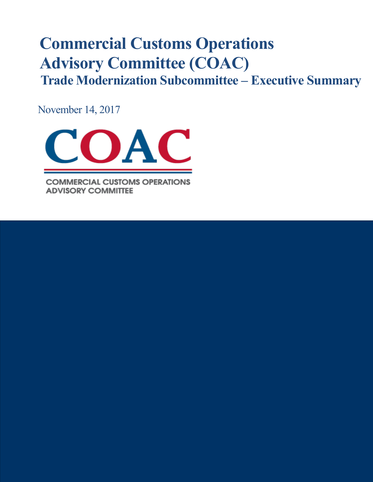# **Commercial Customs Operations Advisory Committee (COAC) Trade Modernization Subcommittee – Executive Summary**

November 14, 2017



**COMMERCIAL CUSTOMS OPERATIONS ADVISORY COMMITTEE**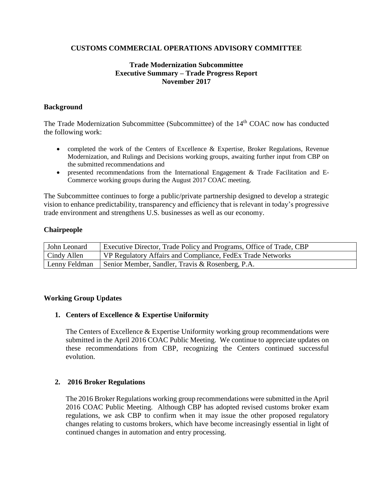# **CUSTOMS COMMERCIAL OPERATIONS ADVISORY COMMITTEE**

# **Trade Modernization Subcommittee Executive Summary – Trade Progress Report November 2017**

## **Background**

The Trade Modernization Subcommittee (Subcommittee) of the 14<sup>th</sup> COAC now has conducted the following work:

- completed the work of the Centers of Excellence & Expertise, Broker Regulations, Revenue Modernization, and Rulings and Decisions working groups, awaiting further input from CBP on the submitted recommendations and
- presented recommendations from the International Engagement & Trade Facilitation and E-Commerce working groups during the August 2017 COAC meeting.

The Subcommittee continues to forge a public/private partnership designed to develop a strategic vision to enhance predictability, transparency and efficiency that is relevant in today's progressive trade environment and strengthens U.S. businesses as well as our economy.

### **Chairpeople**

| John Leonard  | Executive Director, Trade Policy and Programs, Office of Trade, CBP |
|---------------|---------------------------------------------------------------------|
| Cindy Allen   | VP Regulatory Affairs and Compliance, FedEx Trade Networks          |
| Lenny Feldman | Senior Member, Sandler, Travis & Rosenberg, P.A.                    |

### **Working Group Updates**

# **1. Centers of Excellence & Expertise Uniformity**

The Centers of Excellence & Expertise Uniformity working group recommendations were submitted in the April 2016 COAC Public Meeting. We continue to appreciate updates on these recommendations from CBP, recognizing the Centers continued successful evolution.

### **2. 2016 Broker Regulations**

The 2016 Broker Regulations working group recommendations were submitted in the April 2016 COAC Public Meeting. Although CBP has adopted revised customs broker exam regulations, we ask CBP to confirm when it may issue the other proposed regulatory changes relating to customs brokers, which have become increasingly essential in light of continued changes in automation and entry processing.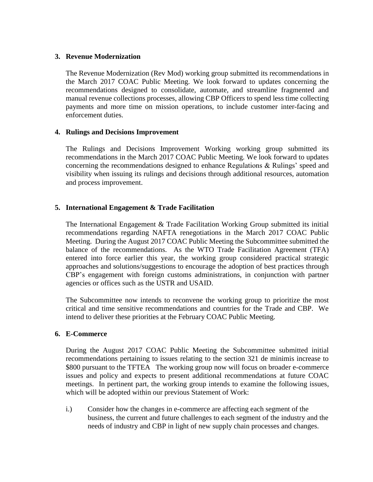## **3. Revenue Modernization**

The Revenue Modernization (Rev Mod) working group submitted its recommendations in the March 2017 COAC Public Meeting. We look forward to updates concerning the recommendations designed to consolidate, automate, and streamline fragmented and manual revenue collections processes, allowing CBP Officers to spend less time collecting payments and more time on mission operations, to include customer inter-facing and enforcement duties.

# **4. Rulings and Decisions Improvement**

The Rulings and Decisions Improvement Working working group submitted its recommendations in the March 2017 COAC Public Meeting. We look forward to updates concerning the recommendations designed to enhance Regulations & Rulings' speed and visibility when issuing its rulings and decisions through additional resources, automation and process improvement.

# **5. International Engagement & Trade Facilitation**

The International Engagement & Trade Facilitation Working Group submitted its initial recommendations regarding NAFTA renegotiations in the March 2017 COAC Public Meeting. During the August 2017 COAC Public Meeting the Subcommittee submitted the balance of the recommendations. As the WTO Trade Facilitation Agreement (TFA) entered into force earlier this year, the working group considered practical strategic approaches and solutions/suggestions to encourage the adoption of best practices through CBP's engagement with foreign customs administrations, in conjunction with partner agencies or offices such as the USTR and USAID.

The Subcommittee now intends to reconvene the working group to prioritize the most critical and time sensitive recommendations and countries for the Trade and CBP. We intend to deliver these priorities at the February COAC Public Meeting.

### **6. E-Commerce**

During the August 2017 COAC Public Meeting the Subcommittee submitted initial recommendations pertaining to issues relating to the section 321 de minimis increase to \$800 pursuant to the TFTEA The working group now will focus on broader e-commerce issues and policy and expects to present additional recommendations at future COAC meetings. In pertinent part, the working group intends to examine the following issues, which will be adopted within our previous Statement of Work:

i.) Consider how the changes in e-commerce are affecting each segment of the business, the current and future challenges to each segment of the industry and the needs of industry and CBP in light of new supply chain processes and changes.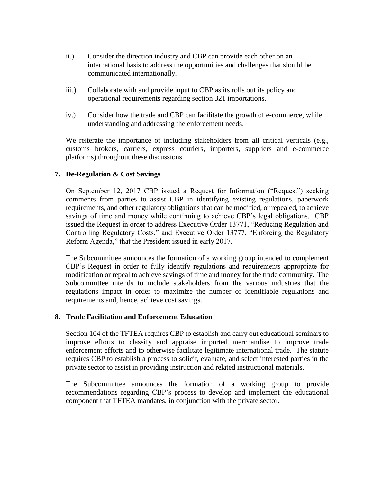- ii.) Consider the direction industry and CBP can provide each other on an international basis to address the opportunities and challenges that should be communicated internationally.
- iii.) Collaborate with and provide input to CBP as its rolls out its policy and operational requirements regarding section 321 importations.
- iv.) Consider how the trade and CBP can facilitate the growth of e-commerce, while understanding and addressing the enforcement needs.

We reiterate the importance of including stakeholders from all critical verticals (e.g., customs brokers, carriers, express couriers, importers, suppliers and e-commerce platforms) throughout these discussions.

# **7. De-Regulation & Cost Savings**

On September 12, 2017 CBP issued a Request for Information ("Request") seeking comments from parties to assist CBP in identifying existing regulations, paperwork requirements, and other regulatory obligations that can be modified, or repealed, to achieve savings of time and money while continuing to achieve CBP's legal obligations. CBP issued the Request in order to address Executive Order 13771, "Reducing Regulation and Controlling Regulatory Costs," and Executive Order 13777, "Enforcing the Regulatory Reform Agenda," that the President issued in early 2017.

The Subcommittee announces the formation of a working group intended to complement CBP's Request in order to fully identify regulations and requirements appropriate for modification or repeal to achieve savings of time and money for the trade community. The Subcommittee intends to include stakeholders from the various industries that the regulations impact in order to maximize the number of identifiable regulations and requirements and, hence, achieve cost savings.

### **8. Trade Facilitation and Enforcement Education**

Section 104 of the TFTEA requires CBP to establish and carry out educational seminars to improve efforts to classify and appraise imported merchandise to improve trade enforcement efforts and to otherwise facilitate legitimate international trade. The statute requires CBP to establish a process to solicit, evaluate, and select interested parties in the private sector to assist in providing instruction and related instructional materials.

The Subcommittee announces the formation of a working group to provide recommendations regarding CBP's process to develop and implement the educational component that TFTEA mandates, in conjunction with the private sector.